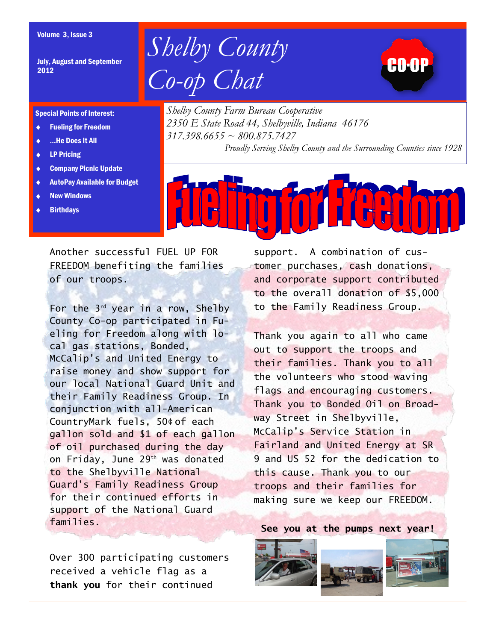July, August and September 2012

Special Points of Interest: Fueling for Freedom ...He Does It All

> Company Picnic Update AutoPay Available for Budget

LP Pricing

 $\blacklozenge$  $\ddot{\bullet}$  $\ddot{\bullet}$  $\ddot{\bullet}$  $\blacklozenge$  $\blacklozenge$  $\ddot{\bullet}$ 

New Windows **Birthdays** 

## Volume 3, Issue 3<br>*Shelby County Co-op Chat*



*Shelby County Farm Bureau Cooperative 2350 E State Road 44, Shelbyville, Indiana 46176 317.398.6655 ~ 800.875.7427*

*Proudly Serving Shelby County and the Surrounding Counties since 1928*



Another successful FUEL UP FOR FREEDOM benefiting the families of our troops.

For the  $3^{rd}$  year in a row, Shelby County Co-op participated in Fueling for Freedom along with local gas stations, Bonded, McCalip's and United Energy to raise money and show support for our local National Guard Unit and their Family Readiness Group. In conjunction with all-American CountryMark fuels, 50¢ of each gallon sold and \$1 of each gallon of oil purchased during the day on Friday, June 29th was donated to the Shelbyville National Guard's Family Readiness Group for their continued efforts in support of the National Guard families.

Over 300 participating customers received a vehicle flag as a **thank you** for their continued

support. A combination of customer purchases, cash donations, and corporate support contributed to the overall donation of \$5,000 to the Family Readiness Group.

Thank you again to all who came out to support the troops and their families. Thank you to all the volunteers who stood waving flags and encouraging customers. Thank you to Bonded Oil on Broadway Street in Shelbyville, McCalip's Service Station in Fairland and United Energy at SR 9 and US 52 for the dedication to this cause. Thank you to our troops and their families for making sure we keep our FREEDOM.

**See you at the pumps next year!**

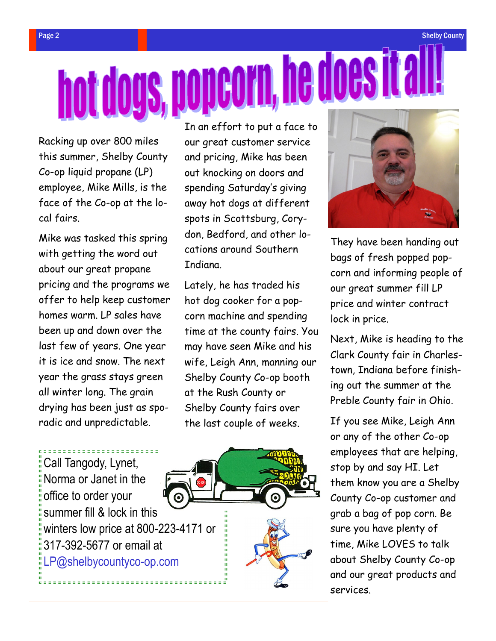hot dogs, popcorn, he does it

Racking up over 800 miles this summer, Shelby County Co-op liquid propane (LP) employee, Mike Mills, is the face of the Co-op at the local fairs.

Mike was tasked this spring with getting the word out about our great propane pricing and the programs we offer to help keep customer homes warm. LP sales have been up and down over the last few of years. One year it is ice and snow. The next year the grass stays green all winter long. The grain drying has been just as sporadic and unpredictable.

In an effort to put a face to our great customer service and pricing, Mike has been out knocking on doors and spending Saturday's giving away hot dogs at different spots in Scottsburg, Corydon, Bedford, and other locations around Southern Indiana.

Lately, he has traded his hot dog cooker for a popcorn machine and spending time at the county fairs. You may have seen Mike and his wife, Leigh Ann, manning our Shelby County Co-op booth at the Rush County or Shelby County fairs over the last couple of weeks.

======================= Call Tangody, Lynet, Norma or Janet in the office to order your summer fill & lock in this winters low price at 800-223-4171 or 317-392-5677 or email at LP@shelbycountyco-op.com



They have been handing out bags of fresh popped popcorn and informing people of our great summer fill LP price and winter contract lock in price.

Next, Mike is heading to the Clark County fair in Charlestown, Indiana before finishing out the summer at the Preble County fair in Ohio.

If you see Mike, Leigh Ann or any of the other Co-op employees that are helping, stop by and say HI. Let them know you are a Shelby County Co-op customer and grab a bag of pop corn. Be sure you have plenty of time, Mike LOVES to talk about Shelby County Co-op and our great products and services.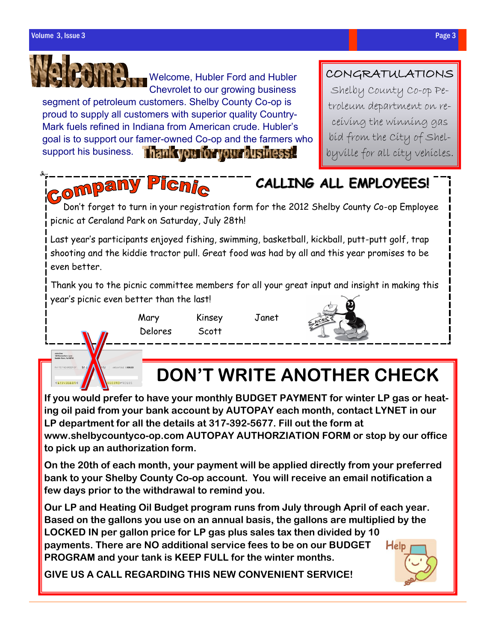

**If you would prefer to have your monthly BUDGET PAYMENT for winter LP gas or heating oil paid from your bank account by AUTOPAY each month, contact LYNET in our LP department for all the details at 317-392-5677. Fill out the form at www.shelbycountyco-op.com AUTOPAY AUTHORZIATION FORM or stop by our office to pick up an authorization form.**

**On the 20th of each month, your payment will be applied directly from your preferred bank to your Shelby County Co-op account. You will receive an email notification a few days prior to the withdrawal to remind you.** 

**Our LP and Heating Oil Budget program runs from July through April of each year. Based on the gallons you use on an annual basis, the gallons are multiplied by the LOCKED IN per gallon price for LP gas plus sales tax then divided by 10 payments. There are NO additional service fees to be on our BUDGET**  Help **PROGRAM and your tank is KEEP FULL for the winter months.**

**GIVE US A CALL REGARDING THIS NEW CONVENIENT SERVICE!**